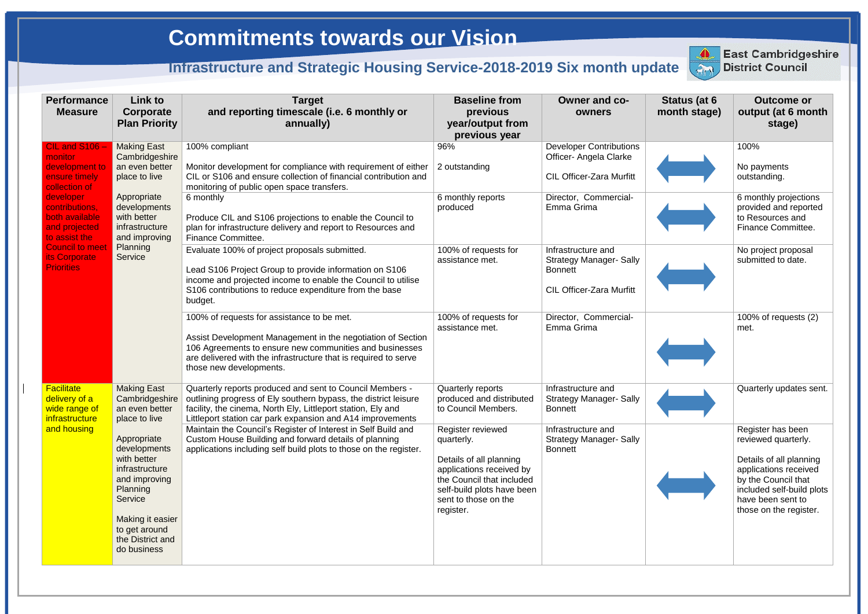| <b>Performance</b><br><b>Measure</b>                                                                                                                                                                                             | Link to<br>Corporate<br><b>Plan Priority</b>                                                                                                                                                                                                            | <b>Target</b><br>and reporting timescale (i.e. 6 monthly or<br>annually)                                                                                                                                                                                           | <b>Baseline from</b><br>previous<br>year/output from<br>previous year                                                                                                                  | Owner and co-<br>owners                                                                                   | Status (at 6<br>month stage) | <b>Outcome or</b><br>output (at 6 month<br>stage)                                                                                                                                               |
|----------------------------------------------------------------------------------------------------------------------------------------------------------------------------------------------------------------------------------|---------------------------------------------------------------------------------------------------------------------------------------------------------------------------------------------------------------------------------------------------------|--------------------------------------------------------------------------------------------------------------------------------------------------------------------------------------------------------------------------------------------------------------------|----------------------------------------------------------------------------------------------------------------------------------------------------------------------------------------|-----------------------------------------------------------------------------------------------------------|------------------------------|-------------------------------------------------------------------------------------------------------------------------------------------------------------------------------------------------|
| CIL and S106 -<br>monitor<br>development to<br>ensure timely<br>collection of<br>developer<br>contributions,<br>both available<br>and projected<br>to assist the<br><b>Council to meet</b><br>its Corporate<br><b>Priorities</b> | <b>Making East</b><br>Cambridgeshire<br>an even better<br>place to live<br>Appropriate<br>developments<br>with better<br>infrastructure<br>and improving<br>Planning<br>Service                                                                         | 100% compliant<br>Monitor development for compliance with requirement of either<br>CIL or S106 and ensure collection of financial contribution and<br>monitoring of public open space transfers.                                                                   | 96%<br>2 outstanding                                                                                                                                                                   | <b>Developer Contributions</b><br>Officer- Angela Clarke<br><b>CIL Officer-Zara Murfitt</b>               |                              | 100%<br>No payments<br>outstanding.                                                                                                                                                             |
|                                                                                                                                                                                                                                  |                                                                                                                                                                                                                                                         | 6 monthly<br>Produce CIL and S106 projections to enable the Council to<br>plan for infrastructure delivery and report to Resources and<br>Finance Committee.                                                                                                       | 6 monthly reports<br>produced                                                                                                                                                          | Director, Commercial-<br>Emma Grima                                                                       |                              | 6 monthly projections<br>provided and reported<br>to Resources and<br>Finance Committee.                                                                                                        |
|                                                                                                                                                                                                                                  |                                                                                                                                                                                                                                                         | Evaluate 100% of project proposals submitted.<br>Lead S106 Project Group to provide information on S106<br>income and projected income to enable the Council to utilise<br>S106 contributions to reduce expenditure from the base<br>budget.                       | 100% of requests for<br>assistance met.                                                                                                                                                | Infrastructure and<br><b>Strategy Manager- Sally</b><br><b>Bonnett</b><br><b>CIL Officer-Zara Murfitt</b> |                              | No project proposal<br>submitted to date.                                                                                                                                                       |
|                                                                                                                                                                                                                                  |                                                                                                                                                                                                                                                         | 100% of requests for assistance to be met.<br>Assist Development Management in the negotiation of Section<br>106 Agreements to ensure new communities and businesses<br>are delivered with the infrastructure that is required to serve<br>those new developments. | 100% of requests for<br>assistance met.                                                                                                                                                | Director, Commercial-<br>Emma Grima                                                                       |                              | 100% of requests (2)<br>met.                                                                                                                                                                    |
| <b>Facilitate</b><br>delivery of a<br>wide range of<br><i>infrastructure</i><br>and housing                                                                                                                                      | <b>Making East</b><br>Cambridgeshire<br>an even better<br>place to live<br>Appropriate<br>developments<br>with better<br>infrastructure<br>and improving<br>Planning<br>Service<br>Making it easier<br>to get around<br>the District and<br>do business | Quarterly reports produced and sent to Council Members -<br>outlining progress of Ely southern bypass, the district leisure<br>facility, the cinema, North Ely, Littleport station, Ely and<br>Littleport station car park expansion and A14 improvements          | Quarterly reports<br>produced and distributed<br>to Council Members.                                                                                                                   | Infrastructure and<br><b>Strategy Manager- Sally</b><br><b>Bonnett</b>                                    |                              | Quarterly updates sent.                                                                                                                                                                         |
|                                                                                                                                                                                                                                  |                                                                                                                                                                                                                                                         | Maintain the Council's Register of Interest in Self Build and<br>Custom House Building and forward details of planning<br>applications including self build plots to those on the register.                                                                        | Register reviewed<br>quarterly.<br>Details of all planning<br>applications received by<br>the Council that included<br>self-build plots have been<br>sent to those on the<br>register. | Infrastructure and<br><b>Strategy Manager- Sally</b><br><b>Bonnett</b>                                    |                              | Register has been<br>reviewed quarterly.<br>Details of all planning<br>applications received<br>by the Council that<br>included self-build plots<br>have been sent to<br>those on the register. |



**East Cambridgeshire District Council**

## **Commitments towards our Vision**

## **Infrastructure and Strategic Housing Service-2018-2019 Six month update District Council**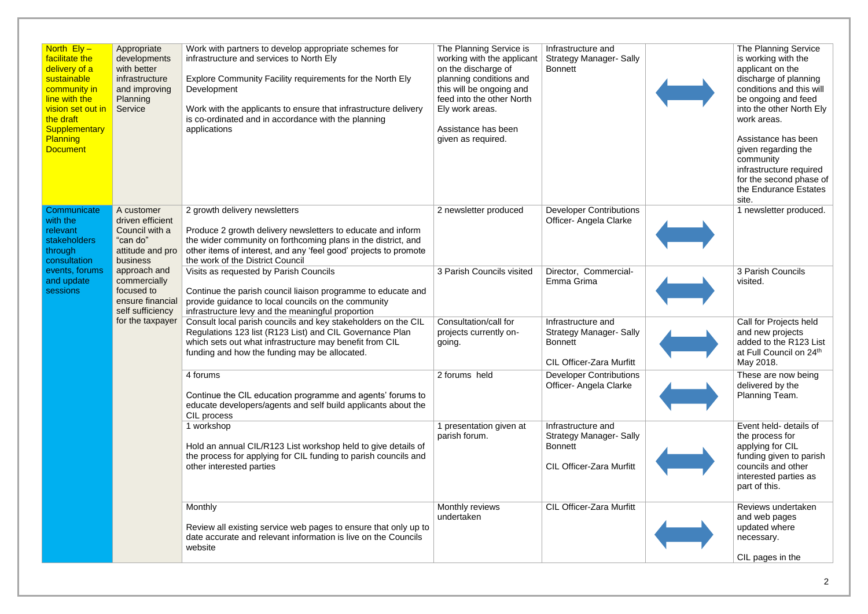| North $Ely -$<br>facilitate the<br>delivery of a<br>sustainable<br>community in<br>line with the<br>vision set out in<br>the draft<br><b>Supplementary</b><br><b>Planning</b><br><b>Document</b> | Appropriate<br>developments<br>with better<br>infrastructure<br>and improving<br>Planning<br>Service                                                                                                   | Work with partners to develop appropriate schemes for<br>infrastructure and services to North Ely<br>Explore Community Facility requirements for the North Ely<br>Development<br>Work with the applicants to ensure that infrastructure delivery<br>is co-ordinated and in accordance with the planning<br>applications | The Planning Service is<br>working with the applicant<br>on the discharge of<br>planning conditions and<br>this will be ongoing and<br>feed into the other North<br>Ely work areas.<br>Assistance has been<br>given as required. | Infrastructure and<br><b>Strategy Manager- Sally</b><br><b>Bonnett</b>                                    | The Planning Service<br>is working with the<br>applicant on the<br>discharge of planning<br>conditions and this will<br>be ongoing and feed<br>into the other North Ely<br>work areas.<br>Assistance has been<br>given regarding the<br>community<br>infrastructure required<br>for the second phase of<br>the Endurance Estates<br>site. |
|--------------------------------------------------------------------------------------------------------------------------------------------------------------------------------------------------|--------------------------------------------------------------------------------------------------------------------------------------------------------------------------------------------------------|-------------------------------------------------------------------------------------------------------------------------------------------------------------------------------------------------------------------------------------------------------------------------------------------------------------------------|----------------------------------------------------------------------------------------------------------------------------------------------------------------------------------------------------------------------------------|-----------------------------------------------------------------------------------------------------------|-------------------------------------------------------------------------------------------------------------------------------------------------------------------------------------------------------------------------------------------------------------------------------------------------------------------------------------------|
| Communicate<br>with the<br>relevant<br>stakeholders<br>through<br>consultation<br>events, forums<br>and update<br>sessions                                                                       | A customer<br>driven efficient<br>Council with a<br>"can do"<br>attitude and pro<br>business<br>approach and<br>commercially<br>focused to<br>ensure financial<br>self sufficiency<br>for the taxpayer | 2 growth delivery newsletters<br>Produce 2 growth delivery newsletters to educate and inform<br>the wider community on forthcoming plans in the district, and<br>other items of interest, and any 'feel good' projects to promote<br>the work of the District Council                                                   | 2 newsletter produced                                                                                                                                                                                                            | <b>Developer Contributions</b><br>Officer- Angela Clarke                                                  | 1 newsletter produced.                                                                                                                                                                                                                                                                                                                    |
|                                                                                                                                                                                                  |                                                                                                                                                                                                        | Visits as requested by Parish Councils<br>Continue the parish council liaison programme to educate and<br>provide guidance to local councils on the community<br>infrastructure levy and the meaningful proportion                                                                                                      | 3 Parish Councils visited                                                                                                                                                                                                        | Director, Commercial-<br>Emma Grima                                                                       | 3 Parish Councils<br>visited.                                                                                                                                                                                                                                                                                                             |
|                                                                                                                                                                                                  |                                                                                                                                                                                                        | Consult local parish councils and key stakeholders on the CIL<br>Regulations 123 list (R123 List) and CIL Governance Plan<br>which sets out what infrastructure may benefit from CIL<br>funding and how the funding may be allocated.                                                                                   | Consultation/call for<br>projects currently on-<br>going.                                                                                                                                                                        | Infrastructure and<br><b>Strategy Manager- Sally</b><br><b>Bonnett</b><br><b>CIL Officer-Zara Murfitt</b> | Call for Projects held<br>and new projects<br>added to the R123 List<br>at Full Council on 24th<br>May 2018.                                                                                                                                                                                                                              |
|                                                                                                                                                                                                  |                                                                                                                                                                                                        | 4 forums<br>Continue the CIL education programme and agents' forums to<br>educate developers/agents and self build applicants about the<br>CIL process                                                                                                                                                                  | 2 forums held                                                                                                                                                                                                                    | <b>Developer Contributions</b><br><b>Officer- Angela Clarke</b>                                           | These are now being<br>delivered by the<br>Planning Team.                                                                                                                                                                                                                                                                                 |
|                                                                                                                                                                                                  |                                                                                                                                                                                                        | 1 workshop<br>Hold an annual CIL/R123 List workshop held to give details of<br>the process for applying for CIL funding to parish councils and<br>other interested parties                                                                                                                                              | 1 presentation given at<br>parish forum.                                                                                                                                                                                         | Infrastructure and<br><b>Strategy Manager- Sally</b><br><b>Bonnett</b><br><b>CIL Officer-Zara Murfitt</b> | Event held- details of<br>the process for<br>applying for CIL<br>funding given to parish<br>councils and other<br>interested parties as<br>part of this.                                                                                                                                                                                  |
|                                                                                                                                                                                                  |                                                                                                                                                                                                        | Monthly<br>Review all existing service web pages to ensure that only up to<br>date accurate and relevant information is live on the Councils<br>website                                                                                                                                                                 | Monthly reviews<br>undertaken                                                                                                                                                                                                    | <b>CIL Officer-Zara Murfitt</b>                                                                           | Reviews undertaken<br>and web pages<br>updated where<br>necessary.<br>CIL pages in the                                                                                                                                                                                                                                                    |